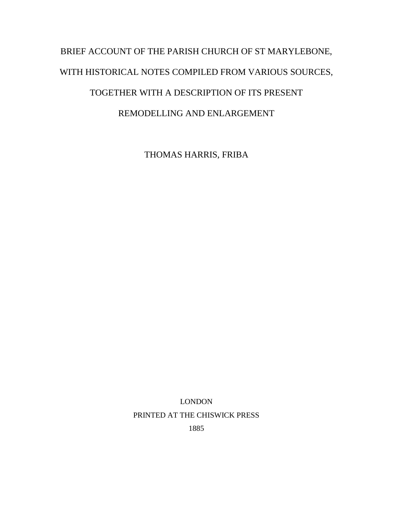## BRIEF ACCOUNT OF THE PARISH CHURCH OF ST MARYLEBONE, WITH HISTORICAL NOTES COMPILED FROM VARIOUS SOURCES, TOGETHER WITH A DESCRIPTION OF ITS PRESENT REMODELLING AND ENLARGEMENT

THOMAS HARRIS, FRIBA

LONDON PRINTED AT THE CHISWICK PRESS

1885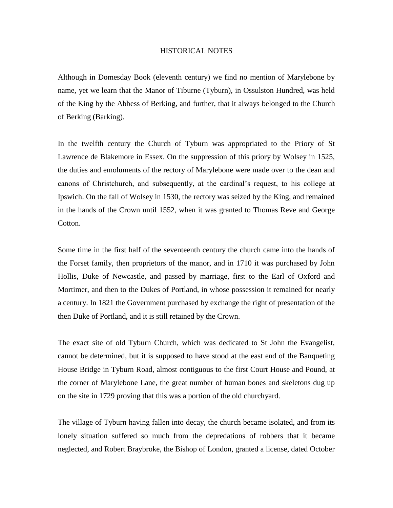## HISTORICAL NOTES

Although in Domesday Book (eleventh century) we find no mention of Marylebone by name, yet we learn that the Manor of Tiburne (Tyburn), in Ossulston Hundred, was held of the King by the Abbess of Berking, and further, that it always belonged to the Church of Berking (Barking).

In the twelfth century the Church of Tyburn was appropriated to the Priory of St Lawrence de Blakemore in Essex. On the suppression of this priory by Wolsey in 1525, the duties and emoluments of the rectory of Marylebone were made over to the dean and canons of Christchurch, and subsequently, at the cardinal's request, to his college at Ipswich. On the fall of Wolsey in 1530, the rectory was seized by the King, and remained in the hands of the Crown until 1552, when it was granted to Thomas Reve and George Cotton.

Some time in the first half of the seventeenth century the church came into the hands of the Forset family, then proprietors of the manor, and in 1710 it was purchased by John Hollis, Duke of Newcastle, and passed by marriage, first to the Earl of Oxford and Mortimer, and then to the Dukes of Portland, in whose possession it remained for nearly a century. In 1821 the Government purchased by exchange the right of presentation of the then Duke of Portland, and it is still retained by the Crown.

The exact site of old Tyburn Church, which was dedicated to St John the Evangelist, cannot be determined, but it is supposed to have stood at the east end of the Banqueting House Bridge in Tyburn Road, almost contiguous to the first Court House and Pound, at the corner of Marylebone Lane, the great number of human bones and skeletons dug up on the site in 1729 proving that this was a portion of the old churchyard.

The village of Tyburn having fallen into decay, the church became isolated, and from its lonely situation suffered so much from the depredations of robbers that it became neglected, and Robert Braybroke, the Bishop of London, granted a license, dated October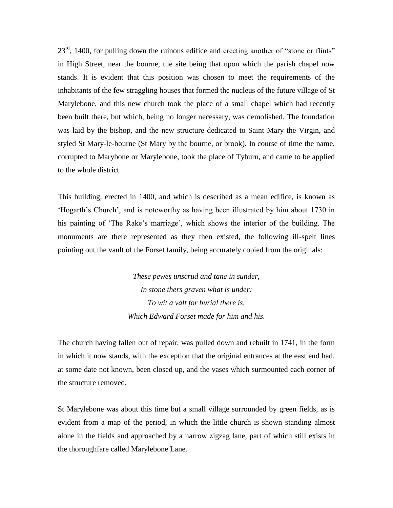$23<sup>rd</sup>$ , 1400, for pulling down the ruinous edifice and erecting another of "stone or flints" in High Street, near the bourne, the site being that upon which the parish chapel now stands. It is evident that this position was chosen to meet the requirements of the inhabitants of the few straggling houses that formed the nucleus of the future village of St Marylebone, and this new church took the place of a small chapel which had recently been built there, but which, being no longer necessary, was demolished. The foundation was laid by the bishop, and the new structure dedicated to Saint Mary the Virgin, and styled St Mary-le-bourne (St Mary by the bourne, or brook). In course of time the name, corrupted to Marybone or Marylebone, took the place of Tyburn, and came to be applied to the whole district.

This building, erected in 1400, and which is described as a mean edifice, is known as 'Hogarth's Church', and is noteworthy as having been illustrated by him about 1730 in his painting of 'The Rake's marriage', which shows the interior of the building. The monuments are there represented as they then existed, the following ill-spelt lines pointing out the vault of the Forset family, being accurately copied from the originals:

> *These pewes unscrud and tane in sunder, In stone thers graven what is under: To wit a valt for burial there is, Which Edward Forset made for him and his.*

The church having fallen out of repair, was pulled down and rebuilt in 1741, in the form in which it now stands, with the exception that the original entrances at the east end had, at some date not known, been closed up, and the vases which surmounted each corner of the structure removed.

St Marylebone was about this time but a small village surrounded by green fields, as is evident from a map of the period, in which the little church is shown standing almost alone in the fields and approached by a narrow zigzag lane, part of which still exists in the thoroughfare called Marylebone Lane.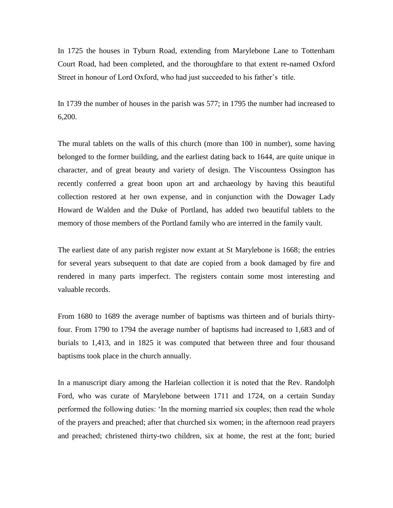In 1725 the houses in Tyburn Road, extending from Marylebone Lane to Tottenham Court Road, had been completed, and the thoroughfare to that extent re-named Oxford Street in honour of Lord Oxford, who had just succeeded to his father's title.

In 1739 the number of houses in the parish was 577; in 1795 the number had increased to 6,200.

The mural tablets on the walls of this church (more than 100 in number), some having belonged to the former building, and the earliest dating back to 1644, are quite unique in character, and of great beauty and variety of design. The Viscountess Ossington has recently conferred a great boon upon art and archaeology by having this beautiful collection restored at her own expense, and in conjunction with the Dowager Lady Howard de Walden and the Duke of Portland, has added two beautiful tablets to the memory of those members of the Portland family who are interred in the family vault.

The earliest date of any parish register now extant at St Marylebone is 1668; the entries for several years subsequent to that date are copied from a book damaged by fire and rendered in many parts imperfect. The registers contain some most interesting and valuable records.

From 1680 to 1689 the average number of baptisms was thirteen and of burials thirtyfour. From 1790 to 1794 the average number of baptisms had increased to 1,683 and of burials to 1,413, and in 1825 it was computed that between three and four thousand baptisms took place in the church annually.

In a manuscript diary among the Harleian collection it is noted that the Rev. Randolph Ford, who was curate of Marylebone between 1711 and 1724, on a certain Sunday performed the following duties: 'In the morning married six couples; then read the whole of the prayers and preached; after that churched six women; in the afternoon read prayers and preached; christened thirty-two children, six at home, the rest at the font; buried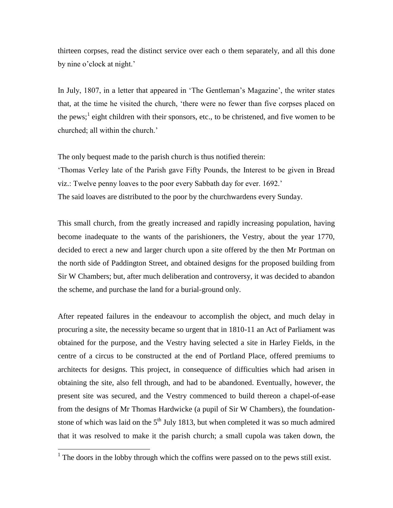thirteen corpses, read the distinct service over each o them separately, and all this done by nine o'clock at night.'

In July, 1807, in a letter that appeared in 'The Gentleman's Magazine', the writer states that, at the time he visited the church, 'there were no fewer than five corpses placed on the pews;<sup>1</sup> eight children with their sponsors, etc., to be christened, and five women to be churched; all within the church.'

The only bequest made to the parish church is thus notified therein:

'Thomas Verley late of the Parish gave Fifty Pounds, the Interest to be given in Bread viz.: Twelve penny loaves to the poor every Sabbath day for ever. 1692.' The said loaves are distributed to the poor by the churchwardens every Sunday.

This small church, from the greatly increased and rapidly increasing population, having become inadequate to the wants of the parishioners, the Vestry, about the year 1770, decided to erect a new and larger church upon a site offered by the then Mr Portman on the north side of Paddington Street, and obtained designs for the proposed building from Sir W Chambers; but, after much deliberation and controversy, it was decided to abandon the scheme, and purchase the land for a burial-ground only.

After repeated failures in the endeavour to accomplish the object, and much delay in procuring a site, the necessity became so urgent that in 1810-11 an Act of Parliament was obtained for the purpose, and the Vestry having selected a site in Harley Fields, in the centre of a circus to be constructed at the end of Portland Place, offered premiums to architects for designs. This project, in consequence of difficulties which had arisen in obtaining the site, also fell through, and had to be abandoned. Eventually, however, the present site was secured, and the Vestry commenced to build thereon a chapel-of-ease from the designs of Mr Thomas Hardwicke (a pupil of Sir W Chambers), the foundationstone of which was laid on the  $5<sup>th</sup>$  July 1813, but when completed it was so much admired that it was resolved to make it the parish church; a small cupola was taken down, the

<sup>&</sup>lt;sup>1</sup> The doors in the lobby through which the coffins were passed on to the pews still exist.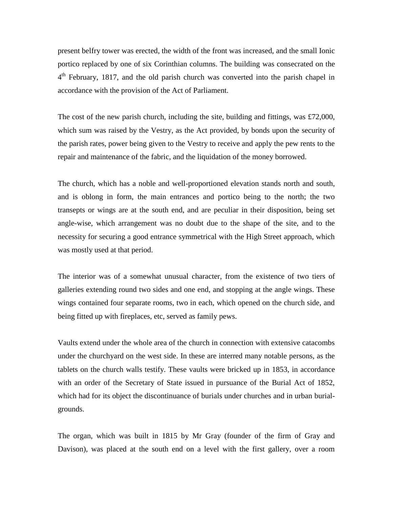present belfry tower was erected, the width of the front was increased, and the small Ionic portico replaced by one of six Corinthian columns. The building was consecrated on the 4<sup>th</sup> February, 1817, and the old parish church was converted into the parish chapel in accordance with the provision of the Act of Parliament.

The cost of the new parish church, including the site, building and fittings, was £72,000, which sum was raised by the Vestry, as the Act provided, by bonds upon the security of the parish rates, power being given to the Vestry to receive and apply the pew rents to the repair and maintenance of the fabric, and the liquidation of the money borrowed.

The church, which has a noble and well-proportioned elevation stands north and south, and is oblong in form, the main entrances and portico being to the north; the two transepts or wings are at the south end, and are peculiar in their disposition, being set angle-wise, which arrangement was no doubt due to the shape of the site, and to the necessity for securing a good entrance symmetrical with the High Street approach, which was mostly used at that period.

The interior was of a somewhat unusual character, from the existence of two tiers of galleries extending round two sides and one end, and stopping at the angle wings. These wings contained four separate rooms, two in each, which opened on the church side, and being fitted up with fireplaces, etc, served as family pews.

Vaults extend under the whole area of the church in connection with extensive catacombs under the churchyard on the west side. In these are interred many notable persons, as the tablets on the church walls testify. These vaults were bricked up in 1853, in accordance with an order of the Secretary of State issued in pursuance of the Burial Act of 1852, which had for its object the discontinuance of burials under churches and in urban burialgrounds.

The organ, which was built in 1815 by Mr Gray (founder of the firm of Gray and Davison), was placed at the south end on a level with the first gallery, over a room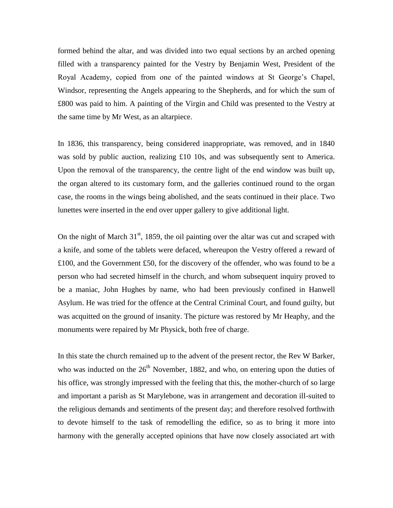formed behind the altar, and was divided into two equal sections by an arched opening filled with a transparency painted for the Vestry by Benjamin West, President of the Royal Academy, copied from one of the painted windows at St George's Chapel, Windsor, representing the Angels appearing to the Shepherds, and for which the sum of £800 was paid to him. A painting of the Virgin and Child was presented to the Vestry at the same time by Mr West, as an altarpiece.

In 1836, this transparency, being considered inappropriate, was removed, and in 1840 was sold by public auction, realizing £10 10s, and was subsequently sent to America. Upon the removal of the transparency, the centre light of the end window was built up, the organ altered to its customary form, and the galleries continued round to the organ case, the rooms in the wings being abolished, and the seats continued in their place. Two lunettes were inserted in the end over upper gallery to give additional light.

On the night of March  $31<sup>st</sup>$ , 1859, the oil painting over the altar was cut and scraped with a knife, and some of the tablets were defaced, whereupon the Vestry offered a reward of £100, and the Government £50, for the discovery of the offender, who was found to be a person who had secreted himself in the church, and whom subsequent inquiry proved to be a maniac, John Hughes by name, who had been previously confined in Hanwell Asylum. He was tried for the offence at the Central Criminal Court, and found guilty, but was acquitted on the ground of insanity. The picture was restored by Mr Heaphy, and the monuments were repaired by Mr Physick, both free of charge.

In this state the church remained up to the advent of the present rector, the Rev W Barker, who was inducted on the  $26<sup>th</sup>$  November, 1882, and who, on entering upon the duties of his office, was strongly impressed with the feeling that this, the mother-church of so large and important a parish as St Marylebone, was in arrangement and decoration ill-suited to the religious demands and sentiments of the present day; and therefore resolved forthwith to devote himself to the task of remodelling the edifice, so as to bring it more into harmony with the generally accepted opinions that have now closely associated art with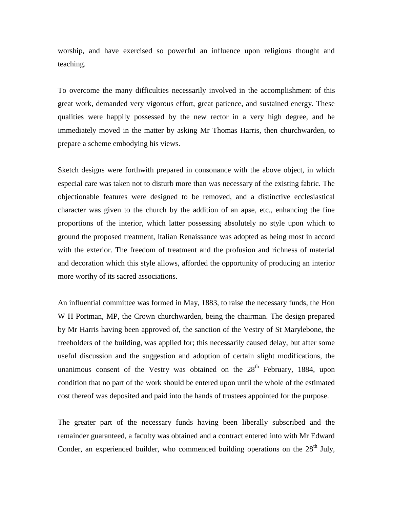worship, and have exercised so powerful an influence upon religious thought and teaching.

To overcome the many difficulties necessarily involved in the accomplishment of this great work, demanded very vigorous effort, great patience, and sustained energy. These qualities were happily possessed by the new rector in a very high degree, and he immediately moved in the matter by asking Mr Thomas Harris, then churchwarden, to prepare a scheme embodying his views.

Sketch designs were forthwith prepared in consonance with the above object, in which especial care was taken not to disturb more than was necessary of the existing fabric. The objectionable features were designed to be removed, and a distinctive ecclesiastical character was given to the church by the addition of an apse, etc., enhancing the fine proportions of the interior, which latter possessing absolutely no style upon which to ground the proposed treatment, Italian Renaissance was adopted as being most in accord with the exterior. The freedom of treatment and the profusion and richness of material and decoration which this style allows, afforded the opportunity of producing an interior more worthy of its sacred associations.

An influential committee was formed in May, 1883, to raise the necessary funds, the Hon W H Portman, MP, the Crown churchwarden, being the chairman. The design prepared by Mr Harris having been approved of, the sanction of the Vestry of St Marylebone, the freeholders of the building, was applied for; this necessarily caused delay, but after some useful discussion and the suggestion and adoption of certain slight modifications, the unanimous consent of the Vestry was obtained on the  $28<sup>th</sup>$  February, 1884, upon condition that no part of the work should be entered upon until the whole of the estimated cost thereof was deposited and paid into the hands of trustees appointed for the purpose.

The greater part of the necessary funds having been liberally subscribed and the remainder guaranteed, a faculty was obtained and a contract entered into with Mr Edward Conder, an experienced builder, who commenced building operations on the  $28<sup>th</sup>$  July,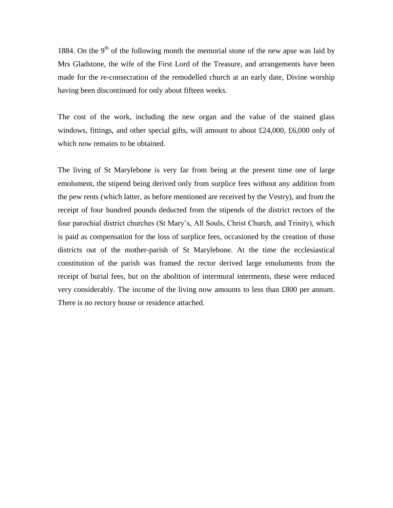1884. On the 9<sup>th</sup> of the following month the memorial stone of the new apse was laid by Mrs Gladstone, the wife of the First Lord of the Treasure, and arrangements have been made for the re-consecration of the remodelled church at an early date, Divine worship having been discontinued for only about fifteen weeks.

The cost of the work, including the new organ and the value of the stained glass windows, fittings, and other special gifts, will amount to about £24,000, £6,000 only of which now remains to be obtained.

The living of St Marylebone is very far from being at the present time one of large emolument, the stipend being derived only from surplice fees without any addition from the pew rents (which latter, as before mentioned are received by the Vestry), and from the receipt of four hundred pounds deducted from the stipends of the district rectors of the four parochial district churches (St Mary's, All Souls, Christ Church, and Trinity), which is paid as compensation for the loss of surplice fees, occasioned by the creation of those districts out of the mother-parish of St Marylebone. At the time the ecclesiastical constitution of the parish was framed the rector derived large emoluments from the receipt of burial fees, but on the abolition of intermural interments, these were reduced very considerably. The income of the living now amounts to less than £800 per annum. There is no rectory house or residence attached.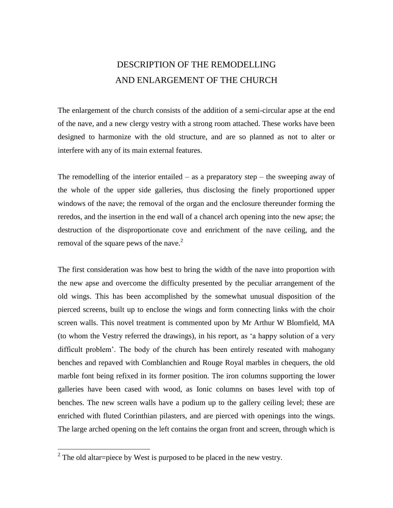## DESCRIPTION OF THE REMODELLING AND ENLARGEMENT OF THE CHURCH

The enlargement of the church consists of the addition of a semi-circular apse at the end of the nave, and a new clergy vestry with a strong room attached. These works have been designed to harmonize with the old structure, and are so planned as not to alter or interfere with any of its main external features.

The remodelling of the interior entailed – as a preparatory step – the sweeping away of the whole of the upper side galleries, thus disclosing the finely proportioned upper windows of the nave; the removal of the organ and the enclosure thereunder forming the reredos, and the insertion in the end wall of a chancel arch opening into the new apse; the destruction of the disproportionate cove and enrichment of the nave ceiling, and the removal of the square pews of the nave.<sup>2</sup>

The first consideration was how best to bring the width of the nave into proportion with the new apse and overcome the difficulty presented by the peculiar arrangement of the old wings. This has been accomplished by the somewhat unusual disposition of the pierced screens, built up to enclose the wings and form connecting links with the choir screen walls. This novel treatment is commented upon by Mr Arthur W Blomfield, MA (to whom the Vestry referred the drawings), in his report, as 'a happy solution of a very difficult problem'. The body of the church has been entirely reseated with mahogany benches and repaved with Comblanchien and Rouge Royal marbles in chequers, the old marble font being refixed in its former position. The iron columns supporting the lower galleries have been cased with wood, as Ionic columns on bases level with top of benches. The new screen walls have a podium up to the gallery ceiling level; these are enriched with fluted Corinthian pilasters, and are pierced with openings into the wings. The large arched opening on the left contains the organ front and screen, through which is

<sup>&</sup>lt;sup>2</sup> The old altar=piece by West is purposed to be placed in the new vestry.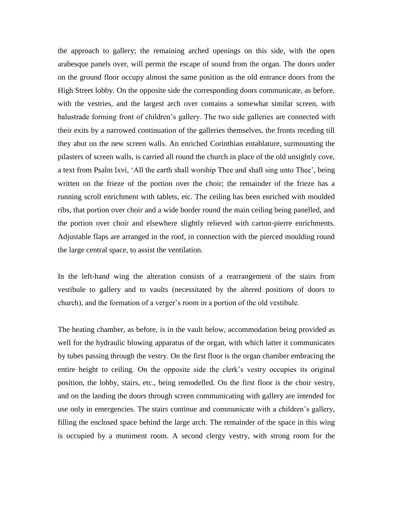the approach to gallery; the remaining arched openings on this side, with the open arabesque panels over, will permit the escape of sound from the organ. The doors under on the ground floor occupy almost the same position as the old entrance doors from the High Street lobby. On the opposite side the corresponding doors communicate, as before, with the vestries, and the largest arch over contains a somewhat similar screen, with balustrade forming front of children's gallery. The two side galleries are connected with their exits by a narrowed continuation of the galleries themselves, the fronts receding till they abut on the new screen walls. An enriched Corinthian entablature, surmounting the pilasters of screen walls, is carried all round the church in place of the old unsightly cove, a text from Psalm lxvi, 'All the earth shall worship Thee and shall sing unto Thee', being written on the frieze of the portion over the choir; the remainder of the frieze has a running scroll enrichment with tablets, etc. The ceiling has been enriched with moulded ribs, that portion over choir and a wide border round the main ceiling being panelled, and the portion over choir and elsewhere slightly relieved with carton-pierre enrichments. Adjustable flaps are arranged in the roof, in connection with the pierced moulding round the large central space, to assist the ventilation.

In the left-hand wing the alteration consists of a rearrangement of the stairs from vestibule to gallery and to vaults (necessitated by the altered positions of doors to church), and the formation of a verger's room in a portion of the old vestibule.

The heating chamber, as before, is in the vault below, accommodation being provided as well for the hydraulic blowing apparatus of the organ, with which latter it communicates by tubes passing through the vestry. On the first floor is the organ chamber embracing the entire height to ceiling. On the opposite side the clerk's vestry occupies its original position, the lobby, stairs, etc., being remodelled. On the first floor is the choir vestry, and on the landing the doors through screen communicating with gallery are intended for use only in emergencies. The stairs continue and communicate with a children's gallery, filling the enclosed space behind the large arch. The remainder of the space in this wing is occupied by a muniment room. A second clergy vestry, with strong room for the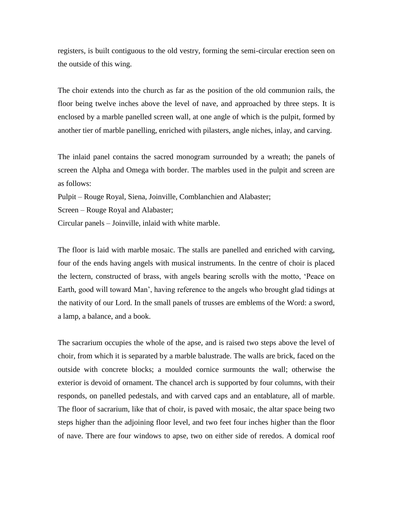registers, is built contiguous to the old vestry, forming the semi-circular erection seen on the outside of this wing.

The choir extends into the church as far as the position of the old communion rails, the floor being twelve inches above the level of nave, and approached by three steps. It is enclosed by a marble panelled screen wall, at one angle of which is the pulpit, formed by another tier of marble panelling, enriched with pilasters, angle niches, inlay, and carving.

The inlaid panel contains the sacred monogram surrounded by a wreath; the panels of screen the Alpha and Omega with border. The marbles used in the pulpit and screen are as follows:

Pulpit – Rouge Royal, Siena, Joinville, Comblanchien and Alabaster;

Screen – Rouge Royal and Alabaster;

Circular panels – Joinville, inlaid with white marble.

The floor is laid with marble mosaic. The stalls are panelled and enriched with carving, four of the ends having angels with musical instruments. In the centre of choir is placed the lectern, constructed of brass, with angels bearing scrolls with the motto, 'Peace on Earth, good will toward Man', having reference to the angels who brought glad tidings at the nativity of our Lord. In the small panels of trusses are emblems of the Word: a sword, a lamp, a balance, and a book.

The sacrarium occupies the whole of the apse, and is raised two steps above the level of choir, from which it is separated by a marble balustrade. The walls are brick, faced on the outside with concrete blocks; a moulded cornice surmounts the wall; otherwise the exterior is devoid of ornament. The chancel arch is supported by four columns, with their responds, on panelled pedestals, and with carved caps and an entablature, all of marble. The floor of sacrarium, like that of choir, is paved with mosaic, the altar space being two steps higher than the adjoining floor level, and two feet four inches higher than the floor of nave. There are four windows to apse, two on either side of reredos. A domical roof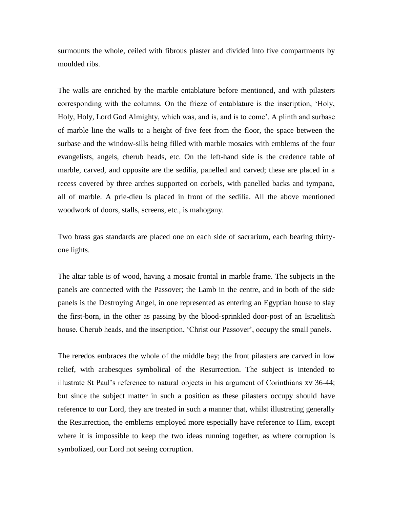surmounts the whole, ceiled with fibrous plaster and divided into five compartments by moulded ribs.

The walls are enriched by the marble entablature before mentioned, and with pilasters corresponding with the columns. On the frieze of entablature is the inscription, 'Holy, Holy, Holy, Lord God Almighty, which was, and is, and is to come'. A plinth and surbase of marble line the walls to a height of five feet from the floor, the space between the surbase and the window-sills being filled with marble mosaics with emblems of the four evangelists, angels, cherub heads, etc. On the left-hand side is the credence table of marble, carved, and opposite are the sedilia, panelled and carved; these are placed in a recess covered by three arches supported on corbels, with panelled backs and tympana, all of marble. A prie-dieu is placed in front of the sedilia. All the above mentioned woodwork of doors, stalls, screens, etc., is mahogany.

Two brass gas standards are placed one on each side of sacrarium, each bearing thirtyone lights.

The altar table is of wood, having a mosaic frontal in marble frame. The subjects in the panels are connected with the Passover; the Lamb in the centre, and in both of the side panels is the Destroying Angel, in one represented as entering an Egyptian house to slay the first-born, in the other as passing by the blood-sprinkled door-post of an Israelitish house. Cherub heads, and the inscription, 'Christ our Passover', occupy the small panels.

The reredos embraces the whole of the middle bay; the front pilasters are carved in low relief, with arabesques symbolical of the Resurrection. The subject is intended to illustrate St Paul's reference to natural objects in his argument of Corinthians xv 36-44; but since the subject matter in such a position as these pilasters occupy should have reference to our Lord, they are treated in such a manner that, whilst illustrating generally the Resurrection, the emblems employed more especially have reference to Him, except where it is impossible to keep the two ideas running together, as where corruption is symbolized, our Lord not seeing corruption.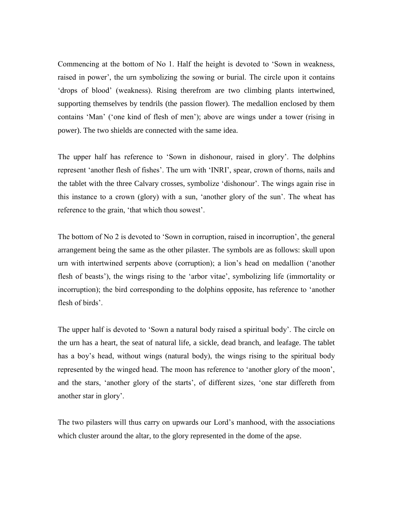Commencing at the bottom of No 1. Half the height is devoted to 'Sown in weakness, raised in power', the urn symbolizing the sowing or burial. The circle upon it contains 'drops of blood' (weakness). Rising therefrom are two climbing plants intertwined, supporting themselves by tendrils (the passion flower). The medallion enclosed by them contains 'Man' ('one kind of flesh of men'); above are wings under a tower (rising in power). The two shields are connected with the same idea.

The upper half has reference to 'Sown in dishonour, raised in glory'. The dolphins represent 'another flesh of fishes'. The urn with 'INRI', spear, crown of thorns, nails and the tablet with the three Calvary crosses, symbolize 'dishonour'. The wings again rise in this instance to a crown (glory) with a sun, 'another glory of the sun'. The wheat has reference to the grain, 'that which thou sowest'.

The bottom of No 2 is devoted to 'Sown in corruption, raised in incorruption', the general arrangement being the same as the other pilaster. The symbols are as follows: skull upon urn with intertwined serpents above (corruption); a lion's head on medallion ('another flesh of beasts'), the wings rising to the 'arbor vitae', symbolizing life (immortality or incorruption); the bird corresponding to the dolphins opposite, has reference to 'another flesh of birds'.

The upper half is devoted to 'Sown a natural body raised a spiritual body'. The circle on the urn has a heart, the seat of natural life, a sickle, dead branch, and leafage. The tablet has a boy's head, without wings (natural body), the wings rising to the spiritual body represented by the winged head. The moon has reference to 'another glory of the moon', and the stars, 'another glory of the starts', of different sizes, 'one star differeth from another star in glory'.

The two pilasters will thus carry on upwards our Lord's manhood, with the associations which cluster around the altar, to the glory represented in the dome of the apse.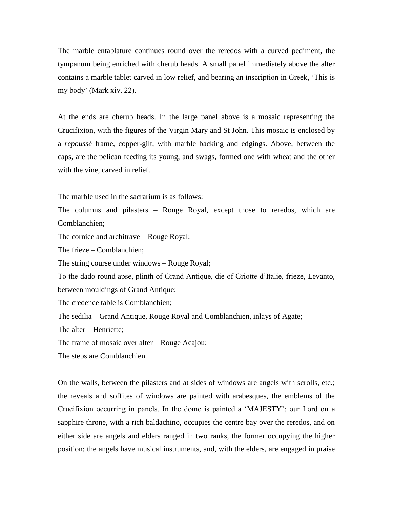The marble entablature continues round over the reredos with a curved pediment, the tympanum being enriched with cherub heads. A small panel immediately above the alter contains a marble tablet carved in low relief, and bearing an inscription in Greek, 'This is my body' (Mark xiv. 22).

At the ends are cherub heads. In the large panel above is a mosaic representing the Crucifixion, with the figures of the Virgin Mary and St John. This mosaic is enclosed by a *repoussé* frame, copper-gilt, with marble backing and edgings. Above, between the caps, are the pelican feeding its young, and swags, formed one with wheat and the other with the vine, carved in relief.

The marble used in the sacrarium is as follows:

The columns and pilasters – Rouge Royal, except those to reredos, which are Comblanchien;

The cornice and architrave – Rouge Royal;

The frieze – Comblanchien;

The string course under windows – Rouge Royal;

To the dado round apse, plinth of Grand Antique, die of Griotte d'Italie, frieze, Levanto, between mouldings of Grand Antique;

The credence table is Comblanchien;

The sedilia – Grand Antique, Rouge Royal and Comblanchien, inlays of Agate;

The alter – Henriette;

The frame of mosaic over alter – Rouge Acajou;

The steps are Comblanchien.

On the walls, between the pilasters and at sides of windows are angels with scrolls, etc.; the reveals and soffites of windows are painted with arabesques, the emblems of the Crucifixion occurring in panels. In the dome is painted a 'MAJESTY'; our Lord on a sapphire throne, with a rich baldachino, occupies the centre bay over the reredos, and on either side are angels and elders ranged in two ranks, the former occupying the higher position; the angels have musical instruments, and, with the elders, are engaged in praise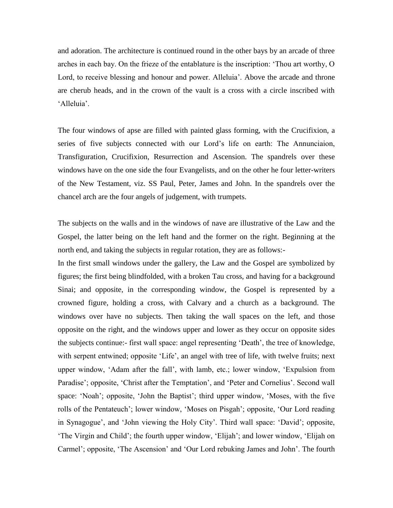and adoration. The architecture is continued round in the other bays by an arcade of three arches in each bay. On the frieze of the entablature is the inscription: 'Thou art worthy, O Lord, to receive blessing and honour and power. Alleluia'. Above the arcade and throne are cherub heads, and in the crown of the vault is a cross with a circle inscribed with 'Alleluia'.

The four windows of apse are filled with painted glass forming, with the Crucifixion, a series of five subjects connected with our Lord's life on earth: The Annunciaion, Transfiguration, Crucifixion, Resurrection and Ascension. The spandrels over these windows have on the one side the four Evangelists, and on the other he four letter-writers of the New Testament, viz. SS Paul, Peter, James and John. In the spandrels over the chancel arch are the four angels of judgement, with trumpets.

The subjects on the walls and in the windows of nave are illustrative of the Law and the Gospel, the latter being on the left hand and the former on the right. Beginning at the north end, and taking the subjects in regular rotation, they are as follows:-

In the first small windows under the gallery, the Law and the Gospel are symbolized by figures; the first being blindfolded, with a broken Tau cross, and having for a background Sinai; and opposite, in the corresponding window, the Gospel is represented by a crowned figure, holding a cross, with Calvary and a church as a background. The windows over have no subjects. Then taking the wall spaces on the left, and those opposite on the right, and the windows upper and lower as they occur on opposite sides the subjects continue:- first wall space: angel representing 'Death', the tree of knowledge, with serpent entwined; opposite 'Life', an angel with tree of life, with twelve fruits; next upper window, 'Adam after the fall', with lamb, etc.; lower window, 'Expulsion from Paradise'; opposite, 'Christ after the Temptation', and 'Peter and Cornelius'. Second wall space: 'Noah'; opposite, 'John the Baptist'; third upper window, 'Moses, with the five rolls of the Pentateuch'; lower window, 'Moses on Pisgah'; opposite, 'Our Lord reading in Synagogue', and 'John viewing the Holy City'. Third wall space: 'David'; opposite, 'The Virgin and Child'; the fourth upper window, 'Elijah'; and lower window, 'Elijah on Carmel'; opposite, 'The Ascension' and 'Our Lord rebuking James and John'. The fourth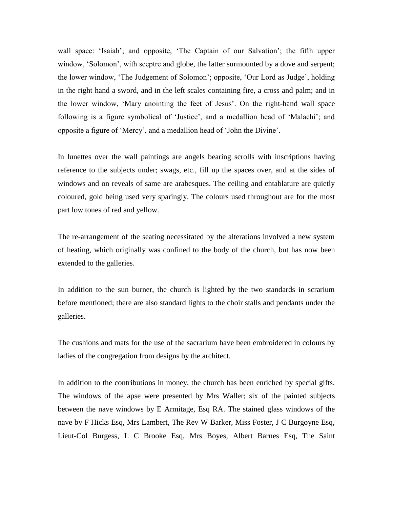wall space: 'Isaiah'; and opposite, 'The Captain of our Salvation'; the fifth upper window, 'Solomon', with sceptre and globe, the latter surmounted by a dove and serpent; the lower window, 'The Judgement of Solomon'; opposite, 'Our Lord as Judge', holding in the right hand a sword, and in the left scales containing fire, a cross and palm; and in the lower window, 'Mary anointing the feet of Jesus'. On the right-hand wall space following is a figure symbolical of 'Justice', and a medallion head of 'Malachi'; and opposite a figure of 'Mercy', and a medallion head of 'John the Divine'.

In lunettes over the wall paintings are angels bearing scrolls with inscriptions having reference to the subjects under; swags, etc., fill up the spaces over, and at the sides of windows and on reveals of same are arabesques. The ceiling and entablature are quietly coloured, gold being used very sparingly. The colours used throughout are for the most part low tones of red and yellow.

The re-arrangement of the seating necessitated by the alterations involved a new system of heating, which originally was confined to the body of the church, but has now been extended to the galleries.

In addition to the sun burner, the church is lighted by the two standards in scrarium before mentioned; there are also standard lights to the choir stalls and pendants under the galleries.

The cushions and mats for the use of the sacrarium have been embroidered in colours by ladies of the congregation from designs by the architect.

In addition to the contributions in money, the church has been enriched by special gifts. The windows of the apse were presented by Mrs Waller; six of the painted subjects between the nave windows by E Armitage, Esq RA. The stained glass windows of the nave by F Hicks Esq, Mrs Lambert, The Rev W Barker, Miss Foster, J C Burgoyne Esq, Lieut-Col Burgess, L C Brooke Esq, Mrs Boyes, Albert Barnes Esq, The Saint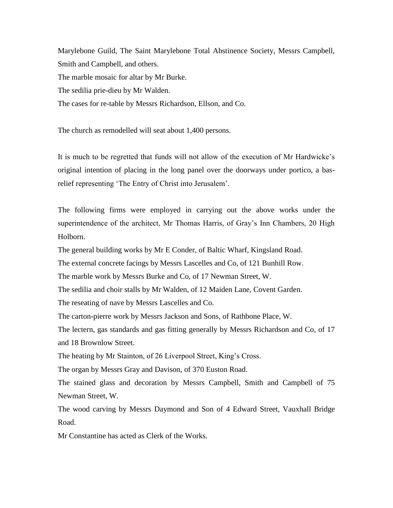Marylebone Guild, The Saint Marylebone Total Abstinence Society, Messrs Campbell, Smith and Campbell, and others. The marble mosaic for altar by Mr Burke. The sedilia prie-dieu by Mr Walden.

The cases for re-table by Messrs Richardson, Ellson, and Co.

The church as remodelled will seat about 1,400 persons.

It is much to be regretted that funds will not allow of the execution of Mr Hardwicke's original intention of placing in the long panel over the doorways under portico, a basrelief representing 'The Entry of Christ into Jerusalem'.

The following firms were employed in carrying out the above works under the superintendence of the architect, Mr Thomas Harris, of Gray's Inn Chambers, 20 High Holborn.

The general building works by Mr E Conder, of Baltic Wharf, Kingsland Road.

The external concrete facings by Messrs Lascelles and Co, of 121 Bunhill Row.

The marble work by Messrs Burke and Co, of 17 Newman Street, W.

The sedilia and choir stalls by Mr Walden, of 12 Maiden Lane, Covent Garden.

The reseating of nave by Messrs Lascelles and Co.

The carton-pierre work by Messrs Jackson and Sons, of Rathbone Place, W.

The lectern, gas standards and gas fitting generally by Messrs Richardson and Co, of 17 and 18 Brownlow Street.

The heating by Mr Stainton, of 26 Liverpool Street, King's Cross.

The organ by Messrs Gray and Davison, of 370 Euston Road.

The stained glass and decoration by Messrs Campbell, Smith and Campbell of 75 Newman Street, W.

The wood carving by Messrs Daymond and Son of 4 Edward Street, Vauxhall Bridge Road.

Mr Constantine has acted as Clerk of the Works.